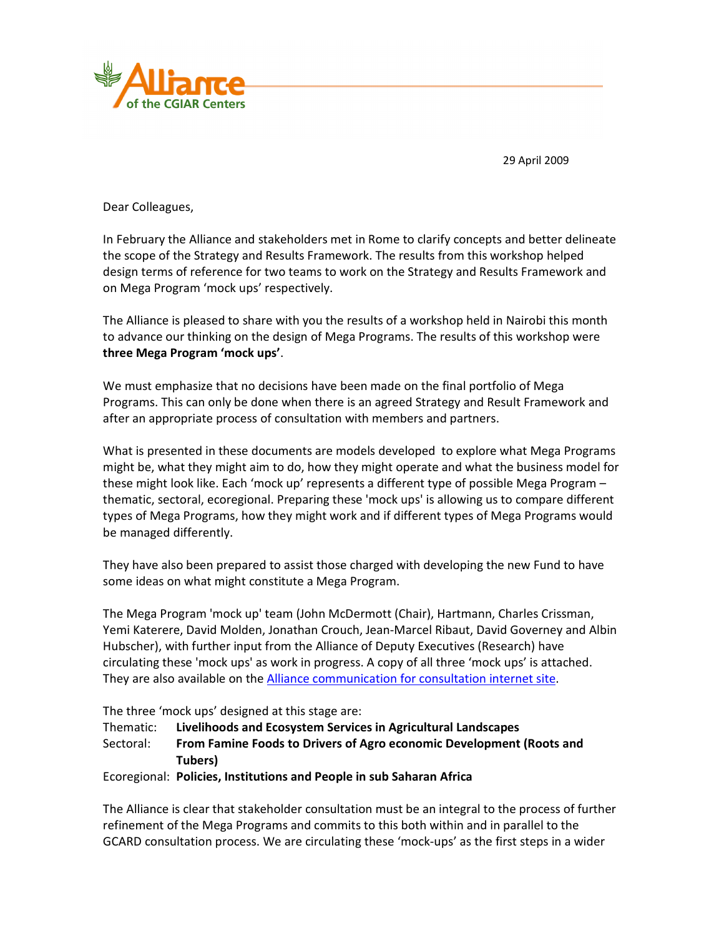

29 April 2009

Dear Colleagues,

In February the Alliance and stakeholders met in Rome to clarify concepts and better delineate the scope of the Strategy and Results Framework. The results from this workshop helped design terms of reference for two teams to work on the Strategy and Results Framework and on Mega Program 'mock ups' respectively.

The Alliance is pleased to share with you the results of a workshop held in Nairobi this month to advance our thinking on the design of Mega Programs. The results of this workshop were **three Mega Program 'mock ups'**.

We must emphasize that no decisions have been made on the final portfolio of Mega Programs. This can only be done when there is an agreed Strategy and Result Framework and after an appropriate process of consultation with members and partners.

What is presented in these documents are models developed to explore what Mega Programs might be, what they might aim to do, how they might operate and what the business model for these might look like. Each 'mock up' represents a different type of possible Mega Program – thematic, sectoral, ecoregional. Preparing these 'mock ups' is allowing us to compare different types of Mega Programs, how they might work and if different types of Mega Programs would be managed differently.

They have also been prepared to assist those charged with developing the new Fund to have some ideas on what might constitute a Mega Program.

The Mega Program 'mock up' team (John McDermott (Chair), Hartmann, Charles Crissman, Yemi Katerere, David Molden, Jonathan Crouch, Jean-Marcel Ribaut, David Governey and Albin Hubscher), with further input from the Alliance of Deputy Executives (Research) have circulating these 'mock ups' as work in progress. A copy of all three 'mock ups' is attached. They are also available on the Alliance communication for consultation internet site.

The three 'mock ups' designed at this stage are:

Thematic: **Livelihoods and Ecosystem Services in Agricultural Landscapes**

Sectoral: **From Famine Foods to Drivers of Agro economic Development (Roots and Tubers)** 

Ecoregional: **Policies, Institutions and People in sub Saharan Africa**

The Alliance is clear that stakeholder consultation must be an integral to the process of further refinement of the Mega Programs and commits to this both within and in parallel to the GCARD consultation process. We are circulating these 'mock-ups' as the first steps in a wider